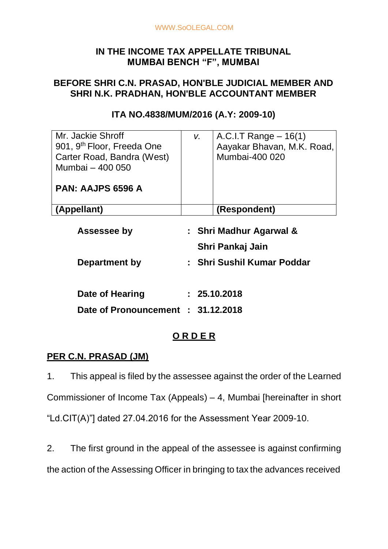# **IN THE INCOME TAX APPELLATE TRIBUNAL MUMBAI BENCH "F", MUMBAI**

# **BEFORE SHRI C.N. PRASAD, HON'BLE JUDICIAL MEMBER AND SHRI N.K. PRADHAN, HON'BLE ACCOUNTANT MEMBER**

| A.C.I.T Range $-16(1)$<br>V.<br>Aayakar Bhavan, M.K. Road, |
|------------------------------------------------------------|
| Mumbai-400 020                                             |
|                                                            |
|                                                            |
|                                                            |
| (Respondent)                                               |
|                                                            |

#### **ITA NO.4838/MUM/2016 (A.Y: 2009-10)**

| : Shri Madhur Agarwal &            |
|------------------------------------|
| Shri Pankaj Jain                   |
| : Shri Sushil Kumar Poddar         |
|                                    |
| : 25.10.2018                       |
| Date of Pronouncement : 31.12.2018 |
|                                    |

# **O R D E R**

## **PER C.N. PRASAD (JM)**

1. This appeal is filed by the assessee against the order of the Learned Commissioner of Income Tax (Appeals) – 4, Mumbai [hereinafter in short "Ld.CIT(A)"] dated 27.04.2016 for the Assessment Year 2009-10.

2. The first ground in the appeal of the assessee is against confirming the action of the Assessing Officer in bringing to tax the advances received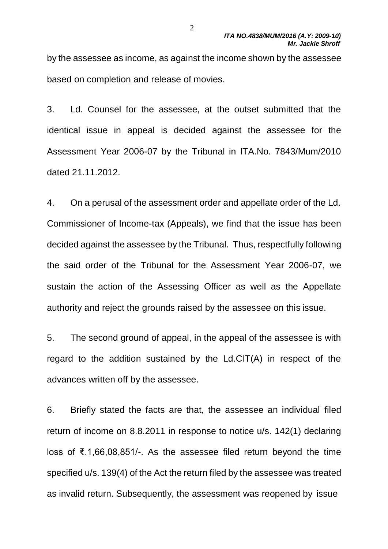by the assessee as income, as against the income shown by the assessee based on completion and release of movies.

3. Ld. Counsel for the assessee, at the outset submitted that the identical issue in appeal is decided against the assessee for the Assessment Year 2006-07 by the Tribunal in ITA.No. 7843/Mum/2010 dated 21.11.2012.

4. On a perusal of the assessment order and appellate order of the Ld. Commissioner of Income-tax (Appeals), we find that the issue has been decided against the assessee by the Tribunal. Thus, respectfully following the said order of the Tribunal for the Assessment Year 2006-07, we sustain the action of the Assessing Officer as well as the Appellate authority and reject the grounds raised by the assessee on this issue.

5. The second ground of appeal, in the appeal of the assessee is with regard to the addition sustained by the Ld.CIT(A) in respect of the advances written off by the assessee.

6. Briefly stated the facts are that, the assessee an individual filed return of income on 8.8.2011 in response to notice u/s. 142(1) declaring loss of ₹.1,66,08,851/-. As the assessee filed return beyond the time specified u/s. 139(4) of the Act the return filed by the assessee was treated as invalid return. Subsequently, the assessment was reopened by issue

 $\mathcal{L}$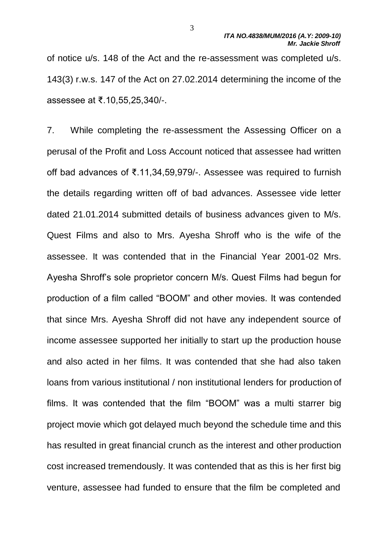of notice u/s. 148 of the Act and the re-assessment was completed u/s. 143(3) r.w.s. 147 of the Act on 27.02.2014 determining the income of the assessee at ₹.10,55,25,340/-.

7. While completing the re-assessment the Assessing Officer on a perusal of the Profit and Loss Account noticed that assessee had written off bad advances of ₹.11,34,59,979/-. Assessee was required to furnish the details regarding written off of bad advances. Assessee vide letter dated 21.01.2014 submitted details of business advances given to M/s. Quest Films and also to Mrs. Ayesha Shroff who is the wife of the assessee. It was contended that in the Financial Year 2001-02 Mrs. Ayesha Shroff's sole proprietor concern M/s. Quest Films had begun for production of a film called "BOOM" and other movies. It was contended that since Mrs. Ayesha Shroff did not have any independent source of income assessee supported her initially to start up the production house and also acted in her films. It was contended that she had also taken loans from various institutional / non institutional lenders for production of films. It was contended that the film "BOOM" was a multi starrer big project movie which got delayed much beyond the schedule time and this has resulted in great financial crunch as the interest and other production cost increased tremendously. It was contended that as this is her first big venture, assessee had funded to ensure that the film be completed and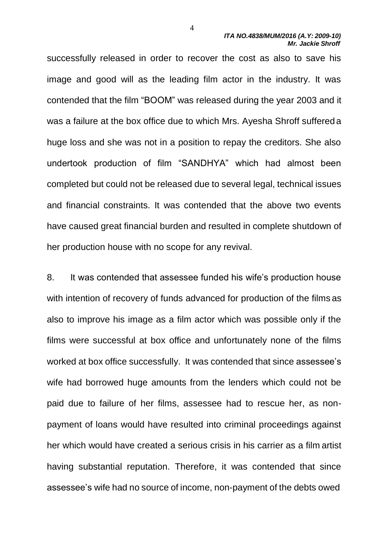successfully released in order to recover the cost as also to save his image and good will as the leading film actor in the industry. It was contended that the film "BOOM" was released during the year 2003 and it was a failure at the box office due to which Mrs. Ayesha Shroff suffereda huge loss and she was not in a position to repay the creditors. She also undertook production of film "SANDHYA" which had almost been completed but could not be released due to several legal, technical issues and financial constraints. It was contended that the above two events have caused great financial burden and resulted in complete shutdown of her production house with no scope for any revival.

8. It was contended that assessee funded his wife's production house with intention of recovery of funds advanced for production of the films as also to improve his image as a film actor which was possible only if the films were successful at box office and unfortunately none of the films worked at box office successfully. It was contended that since assessee's wife had borrowed huge amounts from the lenders which could not be paid due to failure of her films, assessee had to rescue her, as nonpayment of loans would have resulted into criminal proceedings against her which would have created a serious crisis in his carrier as a film artist having substantial reputation. Therefore, it was contended that since assessee's wife had no source of income, non-payment of the debts owed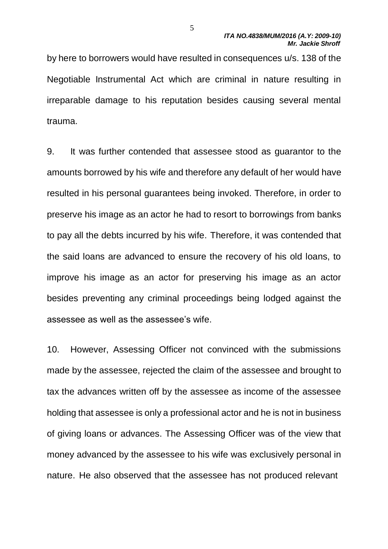by here to borrowers would have resulted in consequences u/s. 138 of the Negotiable Instrumental Act which are criminal in nature resulting in irreparable damage to his reputation besides causing several mental trauma.

9. It was further contended that assessee stood as guarantor to the amounts borrowed by his wife and therefore any default of her would have resulted in his personal guarantees being invoked. Therefore, in order to preserve his image as an actor he had to resort to borrowings from banks to pay all the debts incurred by his wife. Therefore, it was contended that the said loans are advanced to ensure the recovery of his old loans, to improve his image as an actor for preserving his image as an actor besides preventing any criminal proceedings being lodged against the assessee as well as the assessee's wife.

10. However, Assessing Officer not convinced with the submissions made by the assessee, rejected the claim of the assessee and brought to tax the advances written off by the assessee as income of the assessee holding that assessee is only a professional actor and he is not in business of giving loans or advances. The Assessing Officer was of the view that money advanced by the assessee to his wife was exclusively personal in nature. He also observed that the assessee has not produced relevant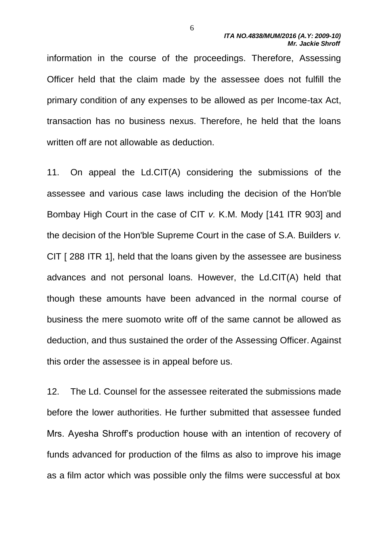information in the course of the proceedings. Therefore, Assessing Officer held that the claim made by the assessee does not fulfill the primary condition of any expenses to be allowed as per Income-tax Act, transaction has no business nexus. Therefore, he held that the loans written off are not allowable as deduction.

11. On appeal the Ld.CIT(A) considering the submissions of the assessee and various case laws including the decision of the Hon'ble Bombay High Court in the case of CIT *v.* K.M. Mody [141 ITR 903] and the decision of the Hon'ble Supreme Court in the case of S.A. Builders *v.*  CIT [288 ITR 1], held that the loans given by the assessee are business advances and not personal loans. However, the Ld.CIT(A) held that though these amounts have been advanced in the normal course of business the mere suomoto write off of the same cannot be allowed as deduction, and thus sustained the order of the Assessing Officer. Against this order the assessee is in appeal before us.

12. The Ld. Counsel for the assessee reiterated the submissions made before the lower authorities. He further submitted that assessee funded Mrs. Ayesha Shroff's production house with an intention of recovery of funds advanced for production of the films as also to improve his image as a film actor which was possible only the films were successful at box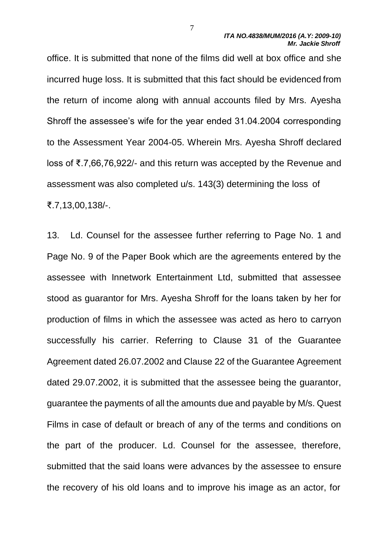office. It is submitted that none of the films did well at box office and she incurred huge loss. It is submitted that this fact should be evidenced from the return of income along with annual accounts filed by Mrs. Ayesha Shroff the assessee's wife for the year ended 31.04.2004 corresponding to the Assessment Year 2004-05. Wherein Mrs. Ayesha Shroff declared loss of ₹.7,66,76,922/- and this return was accepted by the Revenue and assessment was also completed u/s. 143(3) determining the loss of ₹.7,13,00,138/-.

13. Ld. Counsel for the assessee further referring to Page No. 1 and Page No. 9 of the Paper Book which are the agreements entered by the assessee with Innetwork Entertainment Ltd, submitted that assessee stood as guarantor for Mrs. Ayesha Shroff for the loans taken by her for production of films in which the assessee was acted as hero to carryon successfully his carrier. Referring to Clause 31 of the Guarantee Agreement dated 26.07.2002 and Clause 22 of the Guarantee Agreement dated 29.07.2002, it is submitted that the assessee being the guarantor, guarantee the payments of all the amounts due and payable by M/s. Quest Films in case of default or breach of any of the terms and conditions on the part of the producer. Ld. Counsel for the assessee, therefore, submitted that the said loans were advances by the assessee to ensure the recovery of his old loans and to improve his image as an actor, for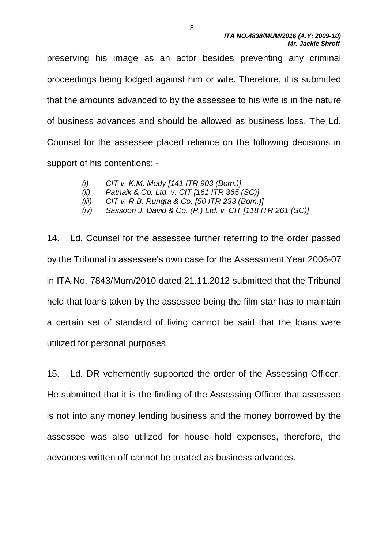preserving his image as an actor besides preventing any criminal proceedings being lodged against him or wife. Therefore, it is submitted that the amounts advanced to by the assessee to his wife is in the nature of business advances and should be allowed as business loss. The Ld. Counsel for the assessee placed reliance on the following decisions in support of his contentions: -

- *(i) CIT v. K.M. Mody [141 ITR 903 (Bom.)]*
- *(ii) Patnaik & Co. Ltd. v. CIT [161 ITR 365 (SC)]*
- *(iii) CIT v. R.B. Rungta & Co. [50 ITR 233 (Bom.)]*
- *(iv) Sassoon J. David & Co. (P.) Ltd. v. CIT [118 ITR 261 (SC)]*

14. Ld. Counsel for the assessee further referring to the order passed by the Tribunal in assessee's own case for the Assessment Year 2006-07 in ITA.No. 7843/Mum/2010 dated 21.11.2012 submitted that the Tribunal held that loans taken by the assessee being the film star has to maintain a certain set of standard of living cannot be said that the loans were utilized for personal purposes.

15. Ld. DR vehemently supported the order of the Assessing Officer. He submitted that it is the finding of the Assessing Officer that assessee is not into any money lending business and the money borrowed by the assessee was also utilized for house hold expenses, therefore, the advances written off cannot be treated as business advances.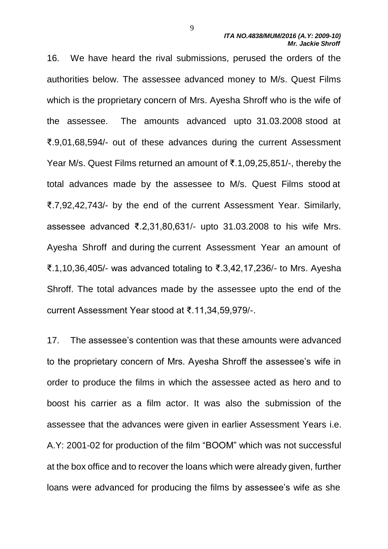16. We have heard the rival submissions, perused the orders of the authorities below. The assessee advanced money to M/s. Quest Films which is the proprietary concern of Mrs. Ayesha Shroff who is the wife of the assessee. The amounts advanced upto 31.03.2008 stood at ₹.9,01,68,594/- out of these advances during the current Assessment Year M/s. Quest Films returned an amount of ₹.1,09,25,851/-, thereby the total advances made by the assessee to M/s. Quest Films stood at ₹.7,92,42,743/- by the end of the current Assessment Year. Similarly, assessee advanced ₹.2,31,80,631/- upto 31.03.2008 to his wife Mrs. Ayesha Shroff and during the current Assessment Year an amount of ₹.1,10,36,405/- was advanced totaling to ₹.3,42,17,236/- to Mrs. Ayesha Shroff. The total advances made by the assessee upto the end of the current Assessment Year stood at ₹.11,34,59,979/-.

17. The assessee's contention was that these amounts were advanced to the proprietary concern of Mrs. Ayesha Shroff the assessee's wife in order to produce the films in which the assessee acted as hero and to boost his carrier as a film actor. It was also the submission of the assessee that the advances were given in earlier Assessment Years i.e. A.Y: 2001-02 for production of the film "BOOM" which was not successful at the box office and to recover the loans which were already given, further loans were advanced for producing the films by assessee's wife as she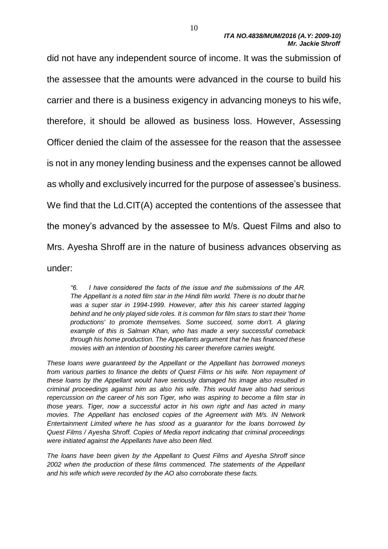did not have any independent source of income. It was the submission of the assessee that the amounts were advanced in the course to build his carrier and there is a business exigency in advancing moneys to his wife, therefore, it should be allowed as business loss. However, Assessing Officer denied the claim of the assessee for the reason that the assessee is not in any money lending business and the expenses cannot be allowed as wholly and exclusively incurred for the purpose of assessee's business. We find that the Ld.CIT(A) accepted the contentions of the assessee that the money's advanced by the assessee to M/s. Quest Films and also to Mrs. Ayesha Shroff are in the nature of business advances observing as under:

*"6. I have considered the facts of the issue and the submissions of the AR. The Appellant is a noted film star in the Hindi film world. There is no doubt that he*  was a super star in 1994-1999. However, after this his career started lagging *behind and he only played side roles. It is common for film stars to start their 'home productions' to promote themselves. Some succeed, some don't. A glaring example of this is Salman Khan, who has made a very successful comeback through his home production. The Appellants argument that he has financed these movies with an intention of boosting his career therefore carries weight.*

*These loans were guaranteed by the Appellant or the Appellant has borrowed moneys from various parties to finance the debts of Quest Films or his wife. Non repayment of these loans by the Appellant would have seriously damaged his image also resulted in criminal proceedings against him as also his wife. This would have also had serious repercussion on the career of his son Tiger, who was aspiring to become a film star in those years. Tiger, now a successful actor in his own right and has acted in many movies. The Appellant has enclosed copies of the Agreement with M/s. IN Network Entertainment Limited where he has stood as a guarantor for the loans borrowed by Quest Films / Ayesha Shroff. Copies of Media report indicating that criminal proceedings were initiated against the Appellants have also been filed.*

*The loans have been given by the Appellant to Quest Films and Ayesha Shroff since 2002 when the production of these films commenced. The statements of the Appellant and his wife which were recorded by the AO also corroborate these facts.*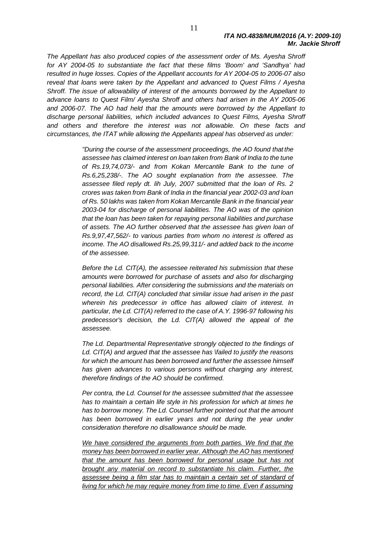*The Appellant has also produced copies of the assessment order of Ms. Ayesha Shroff for AY 2004-05 to substantiate the fact that these films 'Boom' and 'Sandhya' had resulted in huge losses. Copies of the Appellant accounts for AY 2004-05 to 2006-07 also reveal that loans were taken by the Appellant and advanced to Quest Films / Ayesha Shroff. The issue of allowability of interest of the amounts borrowed by the Appellant to advance loans to Quest Film/ Ayesha Shroff and others had arisen in the AY 2005-06 and 2006-07. The AO had held that the amounts were borrowed by the Appellant to discharge personal liabilities, which included advances to Quest Films, Ayesha Shroff and others and therefore the interest was not allowable. On these facts and circumstances, the ITAT while allowing the Appellants appeal has observed as under:*

> *"During the course of the assessment proceedings, the AO found that the assessee has claimed interest on loan taken from Bank of India to the tune of Rs.19,74,073/- and from Kokan Mercantile Bank to the tune of Rs.6,25,238/-. The AO sought explanation from the assessee. The assessee filed reply dt. lih July, 2007 submitted that the loan of Rs. 2 crores was taken from Bank of India in the financial year 2002-03 and loan of Rs. 50 lakhs was taken from Kokan Mercantile Bank in the financial year 2003-04 for discharge of personal liabilities. The AO was of the opinion that the loan has been taken for repaying personal liabilities and purchase of assets. The AO further observed that the assessee has given loan of Rs.9,97,47,562/- to various parties from whom no interest is offered as income. The AO disallowed Rs.25,99,311/- and added back to the income of the assessee.*

> *Before the Ld. CIT(A), the assessee reiterated his submission that these amounts were borrowed for purchase of assets and also for discharging personal liabilities. After considering the submissions and the materials on record, the Ld. CIT(A) concluded that similar issue had arisen in the past wherein his predecessor in office has allowed claim of interest. In particular, the Ld. CIT(A) referred to the case of A.Y. 1996-97 following his predecessor's decision, the Ld. CIT(A) allowed the appeal of the assessee.*

> *The Ld. Departmental Representative strongly objected to the findings of Ld. CIT(A) and argued that the assessee has \failed to justify the reasons for which the amount has been borrowed and further the assessee himself has given advances to various persons without charging any interest, therefore findings of the AO should be confirmed.*

> *Per contra, the Ld. Counsel for the assessee submitted that the assessee has to maintain a certain life style in his profession for which at times he has to borrow money. The Ld. Counsel further pointed out that the amount*  has been borrowed in earlier years and not during the year under *consideration therefore no disallowance should be made.*

> *We have considered the arguments from both parties. We find that the money has been borrowed in earlier year. Although the AO has mentioned that the amount has been borrowed for personal usage but has not brought any material on record to substantiate his claim. Further, the assessee being a film star has to maintain a certain set of standard of living for which he may require money from time to time. Even if assuming*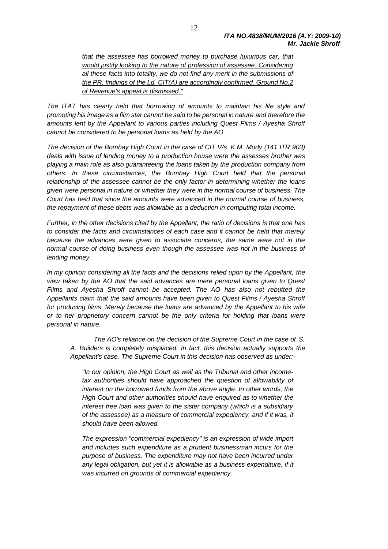*that the assessee has borrowed money to purchase luxurious car, that would justify looking to the nature of profession of assessee. Considering all these facts into totality, we do not find any merit in the submissions of the PR, findings of the Ld. CIT(A) are accordingly confirmed. Ground No.2 of Revenue's appeal is dismissed."*

*The ITAT has clearly held that borrowing of amounts to maintain his life style and promoting his image as a film star cannot be said to be personal in nature and therefore the amounts lent by the Appellant to various parties including Quest Films / Ayesha Shroff cannot be considered to be personal loans as held by the AO.*

*The decision of the Bombay High Court in the case of CIT V/s. K.M. Mody (141 ITR 903) deals with issue of lending money to a production house were the assesses brother was playing a main role as also guaranteeing the loans taken by the production company from others. In these circumstances, the Bombay High Court held that the personal relationship of the assessee cannot be the only factor in determining whether the loans given were personal in nature or whether they were in the normal course of business. The Court has held that since the amounts were advanced in the normal course of business, the repayment of these debts was allowable as a deduction in computing total income.* 

*Further, in the other decisions cited by the Appellant, the ratio of decisions is that one has to consider the facts and circumstances of each case and it cannot be held that merely because the advances were given to associate concerns, the same were not in the normal course of doing business even though the assessee was not in the business of lending money.*

*In my opinion considering all the facts and the decisions relied upon by the Appellant, the view taken by the AO that the said advances are mere personal loans given to Quest Films and Ayesha Shroff cannot be accepted. The AO has also not rebutted the Appellants claim that the said amounts have been given to Quest Films / Ayesha Shroff for producing films. Merely because the loans are advanced by the Appellant to his wife or to her proprietory concern cannot be the only criteria for holding that loans were personal in nature.*

*The AO's reliance on the decision of the Supreme Court in the case of S. A. Builders is completely misplaced. In fact, this decision actually supports the Appellant's case. The Supreme Court in this decision has observed as under:-*

*"In our opinion, the High Court as well as the Tribunal and other incometax authorities should have approached the question of allowability of interest on the borrowed funds from the above angle. In other words, the High Court and other authorities should have enquired as to whether the interest free loan was given to the sister company (which is a subsidiary of the assessee) as a measure of commercial expediency, and if it was, it should have been allowed.*

*The expression "commercial expediency" is an expression of wide import and includes such expenditure as a prudent businessman incurs for the purpose of business. The expenditure may not have been incurred under any legal obligation, but yet it is allowable as a business expenditure, if it was incurred on grounds of commercial expediency.*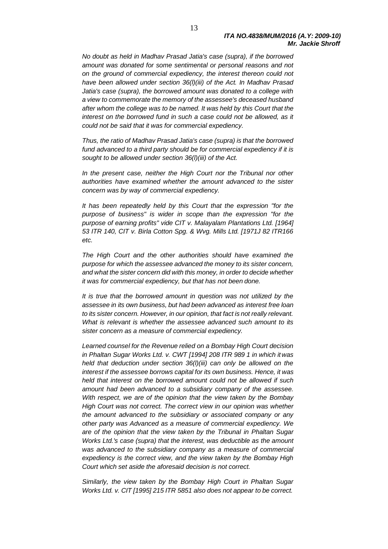*No doubt as held in Madhav Prasad Jatia's case (supra), if the borrowed amount was donated for some sentimental or personal reasons and not on the ground of commercial expediency, the interest thereon could not have been allowed under section 36(l)(iii) of the Act. In Madhav Prasad Jatia's case (supra), the borrowed amount was donated to a college with a view to commemorate the memory of the assessee's deceased husband after whom the college was to be named. It was held by this Court that the interest on the borrowed fund in such a case could not be allowed, as it could not be said that it was for commercial expediency.*

*Thus, the ratio of Madhav Prasad Jatia's case (supra) is that the borrowed fund advanced to a third party should be for commercial expediency if it is sought to be allowed under section 36(l)(iii) of the Act.*

*In the present case, neither the High Court nor the Tribunal nor other authorities have examined whether the amount advanced to the sister concern was by way of commercial expediency.*

*It has been repeatedly held by this Court that the expression "for the purpose of business" is wider in scope than the expression "for the purpose of earning profits" vide CIT v. Malayalam Plantations Ltd. [1964] 53 ITR 140, CIT v. Birla Cotton Spg. & Wvg. Mills Ltd. [1971J 82 ITR166 etc.*

*The High Court and the other authorities should have examined the purpose for which the assessee advanced the money to its sister concern, and what the sister concern did with this money, in order to decide whether it was for commercial expediency, but that has not been done.*

*It is true that the borrowed amount in question was not utilized by the assessee in its own business, but had been advanced as interest free loan to its sister concern. However, in our opinion, that fact is not really relevant. What is relevant is whether the assessee advanced such amount to its sister concern as a measure of commercial expediency.*

*Learned counsel for the Revenue relied on a Bombay High Court decision in Phaltan Sugar Works Ltd. v. CWT [1994] 208 ITR 989 1 in which it was held that deduction under section 36(l)(iii) can only be allowed on the interest if the assessee borrows capital for its own business. Hence, it was held that interest on the borrowed amount could not be allowed if such amount had been advanced to a subsidiary company of the assessee. With respect, we are of the opinion that the view taken by the Bombay High Court was not correct. The correct view in our opinion was whether the amount advanced to the subsidiary or associated company or any other party was Advanced as a measure of commercial expediency. We are of the opinion that the view taken by the Tribunal in Phaltan Sugar Works Ltd.'s case (supra) that the interest, was deductible as the amount was advanced to the subsidiary company as a measure of commercial expediency is the correct view, and the view taken by the Bombay High Court which set aside the aforesaid decision is not correct.*

*Similarly, the view taken by the Bombay High Court in Phaltan Sugar Works Ltd. v. CIT [1995] 215 ITR 5851 also does not appear to be correct.*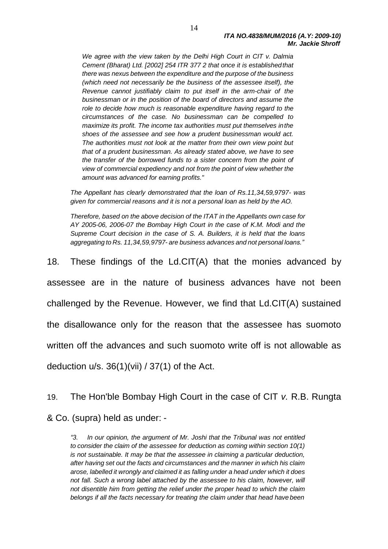*We agree with the view taken by the Delhi High Court in CIT v. Dalmia Cement (Bharat) Ltd. [2002] 254 ITR 377 2 that once it is establishedthat there was nexus between the expenditure and the purpose of the business (which need not necessarily be the business of the assessee itself), the Revenue cannot justifiably claim to put itself in the arm-chair of the businessman or in the position of the board of directors and assume the role to decide how much is reasonable expenditure having regard to the circumstances of the case. No businessman can be compelled to maximize its profit. The income tax authorities must put themselves inthe shoes of the assessee and see how a prudent businessman would act. The authorities must not look at the matter from their own view point but that of a prudent businessman. As already stated above, we have to see the transfer of the borrowed funds to a sister concern from the point of view of commercial expediency and not from the point of view whether the amount was advanced for earning profits."*

*The Appellant has clearly demonstrated that the loan of Rs.11,34,59,9797- was given for commercial reasons and it is not a personal loan as held by the AO.*

*Therefore, based on the above decision of the ITAT in the Appellants own case for AY 2005-06, 2006-07 the Bombay High Court in the case of K.M. Modi and the Supreme Court decision in the case of S. A. Builders, it is held that the loans aggregating to Rs. 11,34,59,9797- are business advances and not personal loans."*

18. These findings of the Ld.CIT(A) that the monies advanced by assessee are in the nature of business advances have not been challenged by the Revenue. However, we find that Ld.CIT(A) sustained the disallowance only for the reason that the assessee has suomoto written off the advances and such suomoto write off is not allowable as deduction  $u/s. 36(1)(vi) / 37(1)$  of the Act.

19. The Hon'ble Bombay High Court in the case of CIT *v.* R.B. Rungta & Co. (supra) held as under: -

*"3. In our opinion, the argument of Mr. Joshi that the Tribunal was not entitled to consider the claim of the assessee for deduction as coming within section 10(1) is not sustainable. It may be that the assessee in claiming a particular deduction, after having set out the facts and circumstances and the manner in which his claim arose, labelled it wrongly and claimed it as falling under a head under which it does not fall. Such a wrong label attached by the assessee to his claim, however, will not disentitle him from getting the relief under the proper head to which the claim belongs if all the facts necessary for treating the claim under that head have been*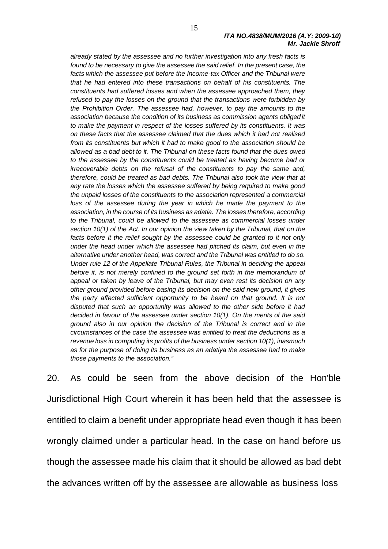*already stated by the assessee and no further investigation into any fresh facts is found to be necessary to give the assessee the said relief. In the present case, the*  facts which the assessee put before the Income-tax Officer and the Tribunal were *that he had entered into these transactions on behalf of his constituents. The constituents had suffered losses and when the assessee approached them, they refused to pay the losses on the ground that the transactions were forbidden by the Prohibition Order. The assessee had, however, to pay the amounts to the association because the condition of its business as commission agents obliged it to make the payment in respect of the losses suffered by its constituents. It was on these facts that the assessee claimed that the dues which it had not realised from its constituents but which it had to make good to the association should be allowed as a bad debt to it. The Tribunal on these facts found that the dues owed to the assessee by the constituents could be treated as having become bad or irrecoverable debts on the refusal of the constituents to pay the same and, therefore, could be treated as bad debts. The Tribunal also took the view that at any rate the losses which the assessee suffered by being required to make good the unpaid losses of the constituents to the association represented a commercial loss of the assessee during the year in which he made the payment to the association, in the course of its business as adatia. The losses therefore, according to the Tribunal, could be allowed to the assessee as commercial losses under section 10(1) of the Act. In our opinion the view taken by the Tribunal, that on the* facts before it the relief sought by the assessee could be granted to it not only *under the head under which the assessee had pitched its claim, but even in the alternative under another head, was correct and the Tribunal was entitled to do so. Under rule 12 of the Appellate Tribunal Rules, the Tribunal in deciding the appeal before it, is not merely confined to the ground set forth in the memorandum of appeal or taken by leave of the Tribunal, but may even rest its decision on any other ground provided before basing its decision on the said new ground, it gives the party affected sufficient opportunity to be heard on that ground. It is not disputed that such an opportunity was allowed to the other side before it had decided in favour of the assessee under section 10(1). On the merits of the said ground also in our opinion the decision of the Tribunal is correct and in the circumstances of the case the assessee was entitled to treat the deductions as a revenue loss in computing its profits of the business under section 10(1), inasmuch as for the purpose of doing its business as an adatiya the assessee had to make those payments to the association."*

20. As could be seen from the above decision of the Hon'ble Jurisdictional High Court wherein it has been held that the assessee is entitled to claim a benefit under appropriate head even though it has been wrongly claimed under a particular head. In the case on hand before us though the assessee made his claim that it should be allowed as bad debt the advances written off by the assessee are allowable as business loss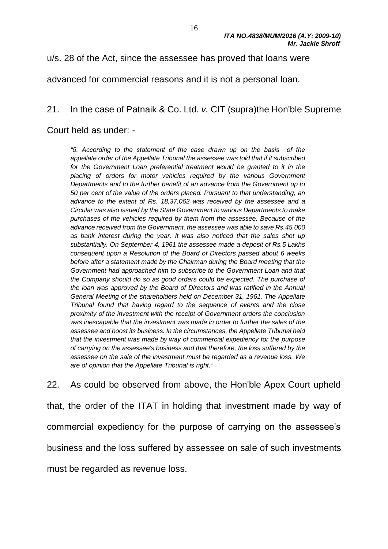u/s. 28 of the Act, since the assessee has proved that loans were

advanced for commercial reasons and it is not a personal loan.

#### 21. In the case of Patnaik & Co. Ltd. *v.* CIT (supra)the Hon'ble Supreme

Court held as under: -

*"5. According to the statement of the case drawn up on the basis of the appellate order of the Appellate Tribunal the assessee was told that if it subscribed*  for the Government Loan preferential treatment would be granted to it in the *placing of orders for motor vehicles required by the various Government Departments and to the further benefit of an advance from the Government up to 50 per cent of the value of the orders placed. Pursuant to that understanding, an advance to the extent of Rs. 18,37,062 was received by the assessee and a Circular was also issued by the State Government to various Departments to make purchases of the vehicles required by them from the assessee. Because of the advance received from the Government, the assessee was able to save Rs.45,000 as bank interest during the year. It was also noticed that the sales shot up substantially. On September 4, 1961 the assessee made a deposit of Rs.5 Lakhs consequent upon a Resolution of the Board of Directors passed about 6 weeks before after a statement made by the Chairman during the Board meeting that the Government had approached him to subscribe to the Government Loan and that the Company should do so as good orders could be expected. The purchase of the loan was approved by the Board of Directors and was ratified in the Annual General Meeting of the shareholders held on December 31, 1961. The Appellate Tribunal found that having regard to the sequence of events and the close proximity of the investment with the receipt of Government orders the conclusion was inescapable that the investment was made in order to further the sales of the assessee and boost its business. In the circumstances, the Appellate Tribunal held that the investment was made by way of commercial expediency for the purpose of carrying on the assessee's business and that therefore, the loss suffered by the assessee on the sale of the investment must be regarded as a revenue loss. We are of opinion that the Appellate Tribunal is right."*

22. As could be observed from above, the Hon'ble Apex Court upheld that, the order of the ITAT in holding that investment made by way of commercial expediency for the purpose of carrying on the assessee's business and the loss suffered by assessee on sale of such investments must be regarded as revenue loss.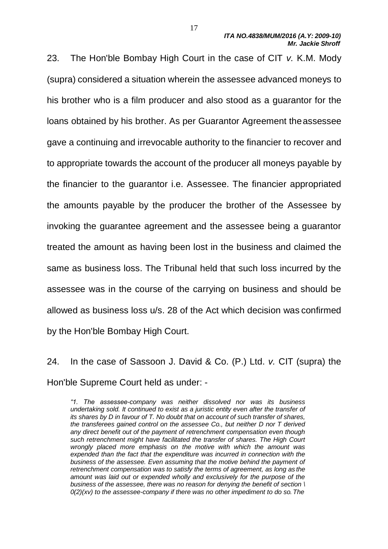23. The Hon'ble Bombay High Court in the case of CIT *v.* K.M. Mody (supra) considered a situation wherein the assessee advanced moneys to his brother who is a film producer and also stood as a guarantor for the loans obtained by his brother. As per Guarantor Agreement theassessee gave a continuing and irrevocable authority to the financier to recover and to appropriate towards the account of the producer all moneys payable by the financier to the guarantor i.e. Assessee. The financier appropriated the amounts payable by the producer the brother of the Assessee by invoking the guarantee agreement and the assessee being a guarantor treated the amount as having been lost in the business and claimed the same as business loss. The Tribunal held that such loss incurred by the assessee was in the course of the carrying on business and should be allowed as business loss u/s. 28 of the Act which decision was confirmed by the Hon'ble Bombay High Court.

24. In the case of Sassoon J. David & Co. (P.) Ltd. *v.* CIT (supra) the Hon'ble Supreme Court held as under: -

*"1. The assessee-company was neither dissolved nor was its business undertaking sold. It continued to exist as a juristic entity even after the transfer of its shares by D in favour of T. No doubt that on account of such transfer of shares, the transferees gained control on the assessee Co., but neither D nor T derived any direct benefit out of the payment of retrenchment compensation even though such retrenchment might have facilitated the transfer of shares. The High Court wrongly placed more emphasis on the motive with which the amount was expended than the fact that the expenditure was incurred in connection with the business of the assessee. Even assuming that the motive behind the payment of retrenchment compensation was to satisfy the terms of agreement, as long as the amount was laid out or expended wholly and exclusively for the purpose of the business of the assessee, there was no reason for denying the benefit of section \ 0(2)(xv) to the assessee-company if there was no other impediment to do so.The*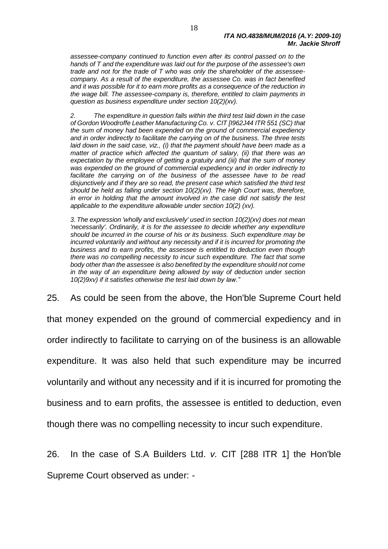*assessee-company continued to function even after its control passed on to the hands of T and the expenditure was laid out for the purpose of the assessee's own trade and not for the trade of T who was only the shareholder of the assesseecompany. As a result of the expenditure, the assessee Co. was in fact benefited and it was possible for it to earn more profits as a consequence of the reduction in the wage bill. The assessee-company is, therefore, entitled to claim payments in question as business expenditure under section 10(2)(xv).*

*2. The expenditure in question falls within the third test laid down in the case of Gordon Woodroffe Leather Manufacturing Co. v. CIT [I962J44 ITR 551 (SC) that the sum of money had been expended on the ground of commercial expediency and in order indirectly to facilitate the carrying on of the business. The three tests laid down in the said case, viz., (i) that the payment should have been made as a matter of practice which affected the quantum of salary, (ii) that there was an expectation by the employee of getting a gratuity and (iii) that the sum of money was expended on the ground of commercial expediency and in order indirectly to facilitate the carrying on of the business of the assessee have to be read disjunctively and if they are so read, the present case which satisfied the third test should be held as falling under section 10(2)(xv). The High Court was, therefore, in error in holding that the amount involved in the case did not satisfy the test applicable to the expenditure allowable under section 10(2) (xv).*

*3. The expression 'wholly and exclusively' used in section 10(2)(xv) does not mean 'necessarily'. Ordinarily, it is for the assessee to decide whether any expenditure should be incurred in the course of his or its business. Such expenditure may be incurred voluntarily and without any necessity and if it is incurred for promoting the business and to earn profits, the assessee is entitled to deduction even though there was no compelling necessity to incur such expenditure. The fact that some body other than the assessee is also benefited by the expenditure should not come in the way of an expenditure being allowed by way of deduction under section 10(2)9xv) if it satisfies otherwise the test laid down by law."*

25. As could be seen from the above, the Hon'ble Supreme Court held

that money expended on the ground of commercial expediency and in

order indirectly to facilitate to carrying on of the business is an allowable

expenditure. It was also held that such expenditure may be incurred

voluntarily and without any necessity and if it is incurred for promoting the

business and to earn profits, the assessee is entitled to deduction, even

though there was no compelling necessity to incur such expenditure.

26. In the case of S.A Builders Ltd. *v.* CIT [288 ITR 1] the Hon'ble

Supreme Court observed as under: -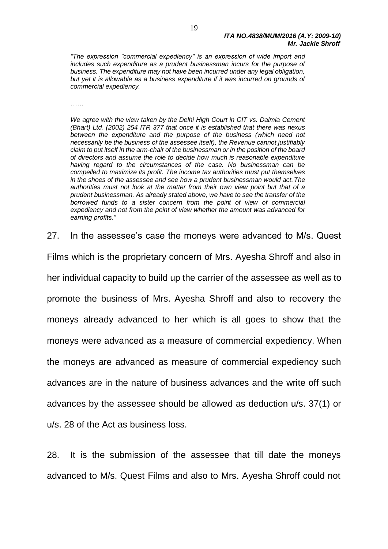*"The expression "commercial expediency" is an expression of wide import and includes such expenditure as a prudent businessman incurs for the purpose of business. The expenditure may not have been incurred under any legal obligation, but yet it is allowable as a business expenditure if it was incurred on grounds of commercial expediency.*

*……*

*We agree with the view taken by the Delhi High Court in CIT vs. Dalmia Cement (Bhart) Ltd. (2002) 254 ITR 377 that once it is established that there was nexus*  between the expenditure and the purpose of the business (which need not *necessarily be the business of the assessee itself), the Revenue cannot justifiably claim to put itself in the arm-chair of the businessman or in the position of the board of directors and assume the role to decide how much is reasonable expenditure having regard to the circumstances of the case. No businessman can be compelled to maximize its profit. The income tax authorities must put themselves in the shoes of the assessee and see how a prudent businessman would act.The authorities must not look at the matter from their own view point but that of a prudent businessman. As already stated above, we have to see the transfer of the borrowed funds to a sister concern from the point of view of commercial expediency and not from the point of view whether the amount was advanced for earning profits."*

27. In the assessee's case the moneys were advanced to M/s. Quest

Films which is the proprietary concern of Mrs. Ayesha Shroff and also in her individual capacity to build up the carrier of the assessee as well as to promote the business of Mrs. Ayesha Shroff and also to recovery the moneys already advanced to her which is all goes to show that the moneys were advanced as a measure of commercial expediency. When the moneys are advanced as measure of commercial expediency such advances are in the nature of business advances and the write off such advances by the assessee should be allowed as deduction u/s. 37(1) or u/s. 28 of the Act as business loss.

28. It is the submission of the assessee that till date the moneys advanced to M/s. Quest Films and also to Mrs. Ayesha Shroff could not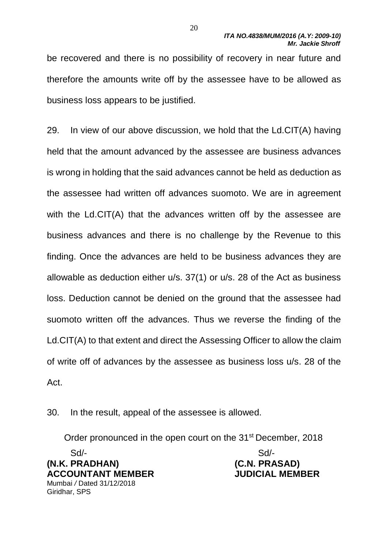be recovered and there is no possibility of recovery in near future and therefore the amounts write off by the assessee have to be allowed as business loss appears to be justified.

29. In view of our above discussion, we hold that the Ld.CIT(A) having held that the amount advanced by the assessee are business advances is wrong in holding that the said advances cannot be held as deduction as the assessee had written off advances suomoto. We are in agreement with the Ld.CIT(A) that the advances written off by the assessee are business advances and there is no challenge by the Revenue to this finding. Once the advances are held to be business advances they are allowable as deduction either u/s. 37(1) or u/s. 28 of the Act as business loss. Deduction cannot be denied on the ground that the assessee had suomoto written off the advances. Thus we reverse the finding of the Ld.CIT(A) to that extent and direct the Assessing Officer to allow the claim of write off of advances by the assessee as business loss u/s. 28 of the Act.

30. In the result, appeal of the assessee is allowed.

Order pronounced in the open court on the 31<sup>st</sup> December, 2018

Sd/- Sd/- **(N.K. PRADHAN) (C.N. PRASAD) ACCOUNTANT MEMBER JUDICIAL MEMBER** Mumbai */* Dated 31/12/2018 Giridhar, SPS